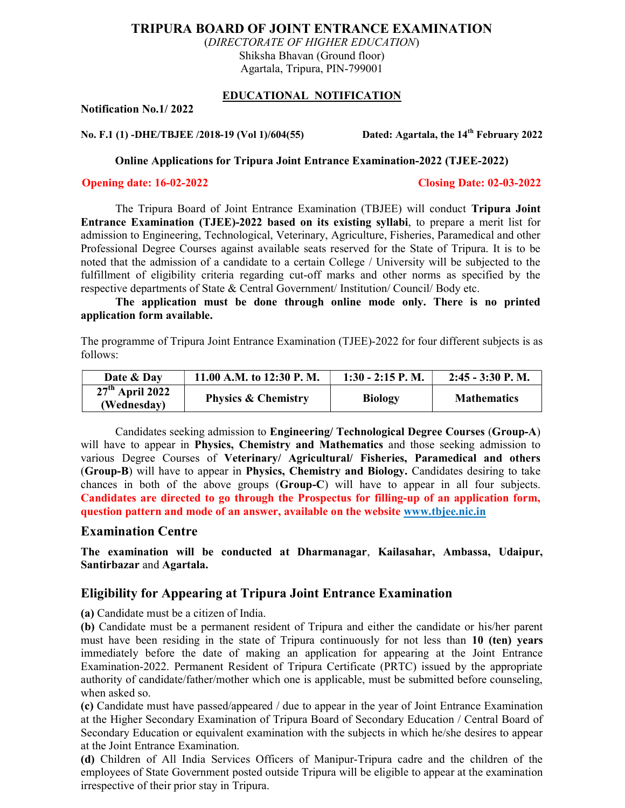# TRIPURA BOARD OF JOINT ENTRANCE EXAMINATION

(DIRECTORATE OF HIGHER EDUCATION) Shiksha Bhavan (Ground floor) Agartala, Tripura, PIN-799001

### EDUCATIONAL NOTIFICATION

Notification No.1/ 2022

No. F.1 (1) -DHE/TBJEE /2018-19 (Vol 1)/604(55) Dated: Agartala, the 14<sup>th</sup> February 2022

Online Applications for Tripura Joint Entrance Examination-2022 (TJEE-2022)

#### Opening date: 16-02-2022 Closing Date: 02-03-2022

The Tripura Board of Joint Entrance Examination (TBJEE) will conduct Tripura Joint Entrance Examination (TJEE)-2022 based on its existing syllabi, to prepare a merit list for admission to Engineering, Technological, Veterinary, Agriculture, Fisheries, Paramedical and other Professional Degree Courses against available seats reserved for the State of Tripura. It is to be noted that the admission of a candidate to a certain College / University will be subjected to the fulfillment of eligibility criteria regarding cut-off marks and other norms as specified by the respective departments of State & Central Government/ Institution/ Council/ Body etc.

The application must be done through online mode only. There is no printed application form available.

The programme of Tripura Joint Entrance Examination (TJEE)-2022 for four different subjects is as follows:

| Date & Day                       | 11.00 A.M. to 12:30 P.M.       | $1:30 - 2:15$ P.M. | $2:45 - 3:30$ P.M. |
|----------------------------------|--------------------------------|--------------------|--------------------|
| $27th$ April 2022<br>(Wednesday) | <b>Physics &amp; Chemistry</b> | <b>Biology</b>     | <b>Mathematics</b> |

Candidates seeking admission to Engineering/ Technological Degree Courses (Group-A) will have to appear in Physics, Chemistry and Mathematics and those seeking admission to various Degree Courses of Veterinary/ Agricultural/ Fisheries, Paramedical and others (Group-B) will have to appear in Physics, Chemistry and Biology. Candidates desiring to take chances in both of the above groups (Group-C) will have to appear in all four subjects. Candidates are directed to go through the Prospectus for filling-up of an application form, question pattern and mode of an answer, available on the website www.tbjee.nic.in

## Examination Centre

The examination will be conducted at Dharmanagar, Kailasahar, Ambassa, Udaipur, Santirbazar and Agartala.

# Eligibility for Appearing at Tripura Joint Entrance Examination

(a) Candidate must be a citizen of India.

(b) Candidate must be a permanent resident of Tripura and either the candidate or his/her parent must have been residing in the state of Tripura continuously for not less than 10 (ten) years immediately before the date of making an application for appearing at the Joint Entrance Examination-2022. Permanent Resident of Tripura Certificate (PRTC) issued by the appropriate authority of candidate/father/mother which one is applicable, must be submitted before counseling, when asked so.

(c) Candidate must have passed/appeared / due to appear in the year of Joint Entrance Examination at the Higher Secondary Examination of Tripura Board of Secondary Education / Central Board of Secondary Education or equivalent examination with the subjects in which he/she desires to appear at the Joint Entrance Examination.

(d) Children of All India Services Officers of Manipur-Tripura cadre and the children of the employees of State Government posted outside Tripura will be eligible to appear at the examination irrespective of their prior stay in Tripura.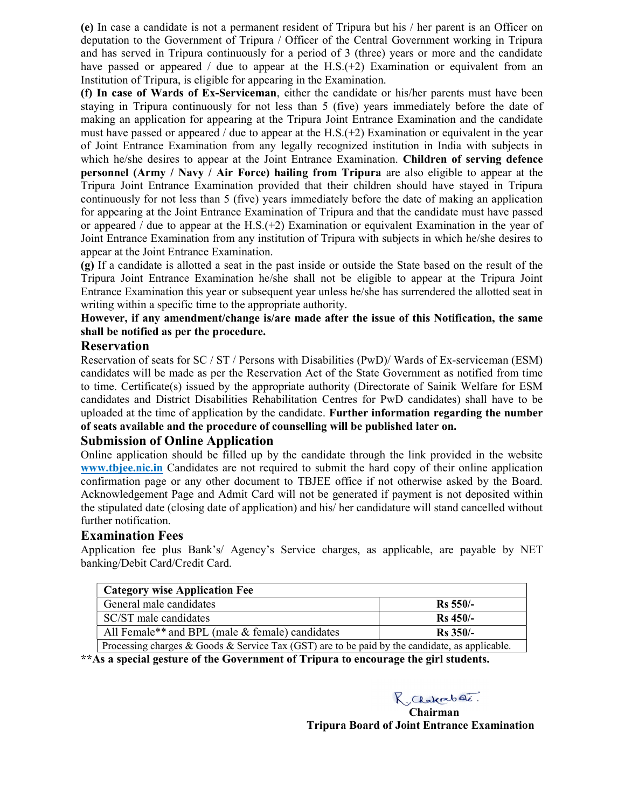(e) In case a candidate is not a permanent resident of Tripura but his / her parent is an Officer on deputation to the Government of Tripura / Officer of the Central Government working in Tripura and has served in Tripura continuously for a period of 3 (three) years or more and the candidate have passed or appeared / due to appear at the  $H.S.(+2)$  Examination or equivalent from an Institution of Tripura, is eligible for appearing in the Examination.

(f) In case of Wards of Ex-Serviceman, either the candidate or his/her parents must have been staying in Tripura continuously for not less than 5 (five) years immediately before the date of making an application for appearing at the Tripura Joint Entrance Examination and the candidate must have passed or appeared / due to appear at the  $H.S.(+2)$  Examination or equivalent in the year of Joint Entrance Examination from any legally recognized institution in India with subjects in which he/she desires to appear at the Joint Entrance Examination. Children of serving defence personnel (Army / Navy / Air Force) hailing from Tripura are also eligible to appear at the Tripura Joint Entrance Examination provided that their children should have stayed in Tripura continuously for not less than 5 (five) years immediately before the date of making an application for appearing at the Joint Entrance Examination of Tripura and that the candidate must have passed or appeared / due to appear at the H.S. $(+2)$  Examination or equivalent Examination in the year of Joint Entrance Examination from any institution of Tripura with subjects in which he/she desires to appear at the Joint Entrance Examination.

(g) If a candidate is allotted a seat in the past inside or outside the State based on the result of the Tripura Joint Entrance Examination he/she shall not be eligible to appear at the Tripura Joint Entrance Examination this year or subsequent year unless he/she has surrendered the allotted seat in writing within a specific time to the appropriate authority.

## However, if any amendment/change is/are made after the issue of this Notification, the same shall be notified as per the procedure.

## Reservation

Reservation of seats for SC / ST / Persons with Disabilities (PwD)/ Wards of Ex-serviceman (ESM) candidates will be made as per the Reservation Act of the State Government as notified from time to time. Certificate(s) issued by the appropriate authority (Directorate of Sainik Welfare for ESM candidates and District Disabilities Rehabilitation Centres for PwD candidates) shall have to be uploaded at the time of application by the candidate. Further information regarding the number of seats available and the procedure of counselling will be published later on.

## Submission of Online Application

Online application should be filled up by the candidate through the link provided in the website www.tbjee.nic.in Candidates are not required to submit the hard copy of their online application confirmation page or any other document to TBJEE office if not otherwise asked by the Board. Acknowledgement Page and Admit Card will not be generated if payment is not deposited within the stipulated date (closing date of application) and his/ her candidature will stand cancelled without further notification.

### Examination Fees

Application fee plus Bank's/ Agency's Service charges, as applicable, are payable by NET banking/Debit Card/Credit Card.

| <b>Category wise Application Fee</b>                                                           |             |  |
|------------------------------------------------------------------------------------------------|-------------|--|
| General male candidates<br>$Rs 550/-$                                                          |             |  |
| SC/ST male candidates                                                                          | $Rs\,450/-$ |  |
| All Female <sup>**</sup> and BPL (male & female) candidates                                    | $Rs$ 350/-  |  |
| Processing charges & Goods & Service Tax (GST) are to be paid by the candidate, as applicable. |             |  |

\*\*As a special gesture of the Government of Tripura to encourage the girl students.

R. Chakrabat.

Chairman Tripura Board of Joint Entrance Examination